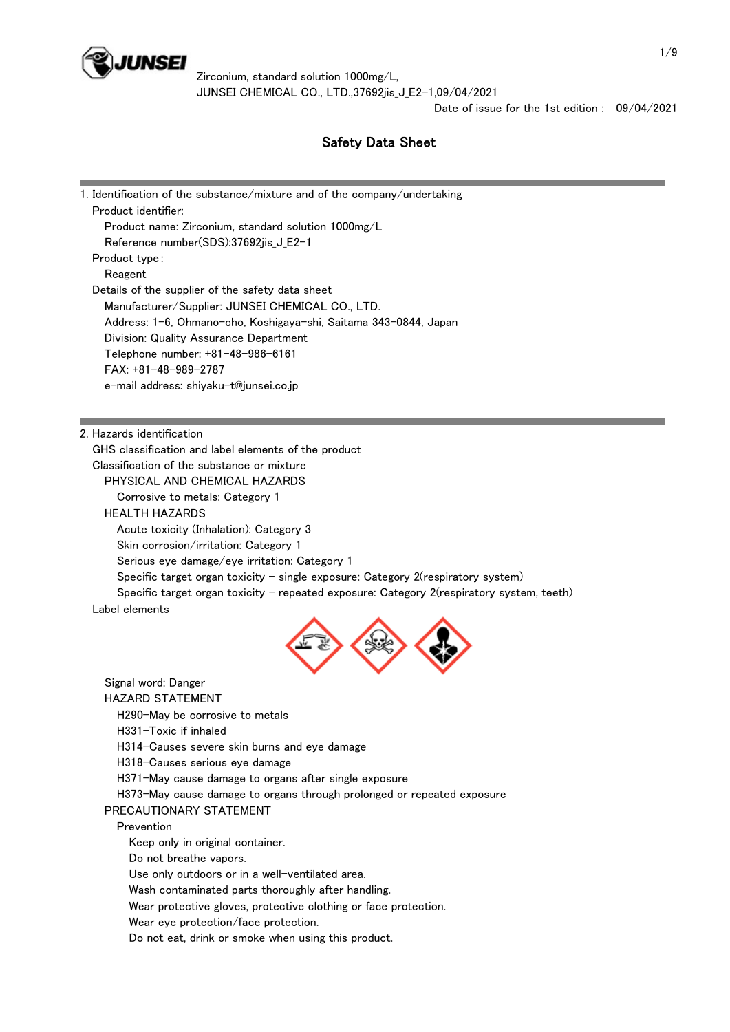

Date of issue for the 1st edition : 09/04/2021

# Safety Data Sheet

| 1. Identification of the substance/mixture and of the company/undertaking                 |
|-------------------------------------------------------------------------------------------|
| Product identifier:                                                                       |
| Product name: Zirconium, standard solution 1000mg/L                                       |
| Reference number(SDS):37692jis_J_E2-1                                                     |
| Product type:                                                                             |
| Reagent                                                                                   |
| Details of the supplier of the safety data sheet                                          |
| Manufacturer/Supplier: JUNSEI CHEMICAL CO., LTD.                                          |
| Address: 1-6, Ohmano-cho, Koshigaya-shi, Saitama 343-0844, Japan                          |
| Division: Quality Assurance Department                                                    |
| Telephone number: +81-48-986-6161                                                         |
| $FAX: +81-48-989-2787$                                                                    |
| e-mail address: shiyaku-t@junsei.co.jp                                                    |
|                                                                                           |
|                                                                                           |
| 2. Hazards identification                                                                 |
| GHS classification and label elements of the product                                      |
| Classification of the substance or mixture                                                |
| PHYSICAL AND CHEMICAL HAZARDS                                                             |
| Corrosive to metals: Category 1                                                           |
| <b>HEALTH HAZARDS</b>                                                                     |
| Acute toxicity (Inhalation): Category 3                                                   |
| Skin corrosion/irritation: Category 1                                                     |
| Serious eye damage/eye irritation: Category 1                                             |
| Specific target organ toxicity – single exposure: Category $2$ (respiratory system)       |
| Specific target organ toxicity – repeated exposure: Category 2(respiratory system, teeth) |
|                                                                                           |





Signal word: Danger

HAZARD STATEMENT

H290-May be corrosive to metals

H331-Toxic if inhaled

H314-Causes severe skin burns and eye damage

H318-Causes serious eye damage

H371-May cause damage to organs after single exposure

H373-May cause damage to organs through prolonged or repeated exposure

## PRECAUTIONARY STATEMENT

Prevention

Keep only in original container.

Do not breathe vapors.

Use only outdoors or in a well-ventilated area.

Wash contaminated parts thoroughly after handling.

Wear protective gloves, protective clothing or face protection.

Wear eye protection/face protection.

Do not eat, drink or smoke when using this product.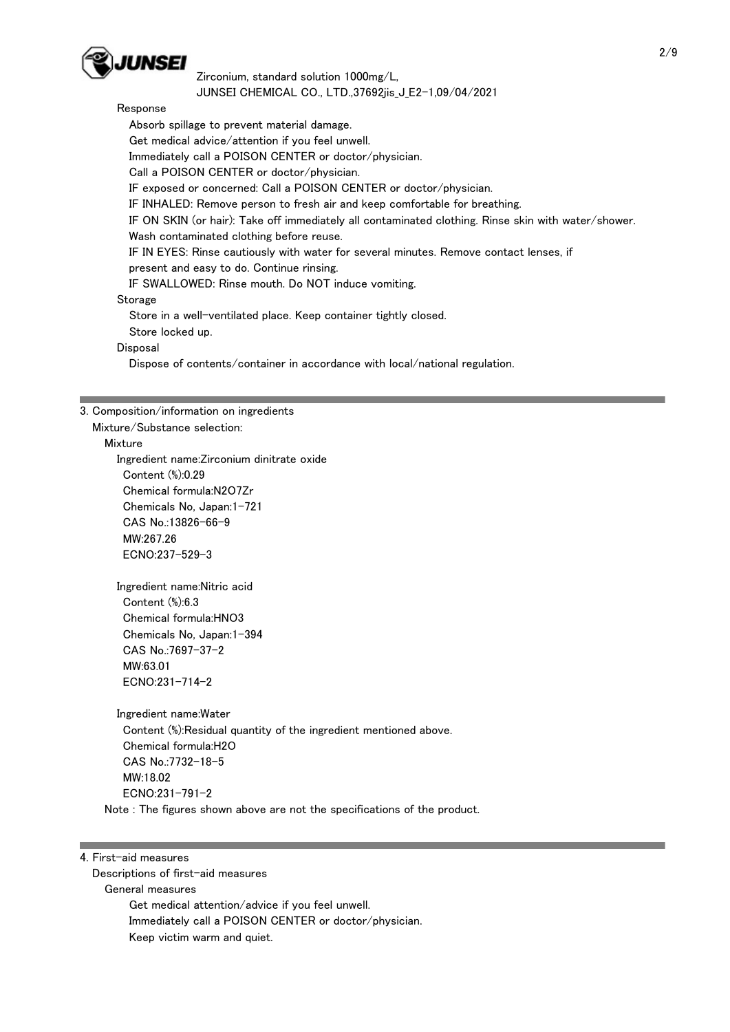

## Response

 Absorb spillage to prevent material damage. Get medical advice/attention if you feel unwell. Immediately call a POISON CENTER or doctor/physician. Call a POISON CENTER or doctor/physician. IF exposed or concerned: Call a POISON CENTER or doctor/physician. IF INHALED: Remove person to fresh air and keep comfortable for breathing. IF ON SKIN (or hair): Take off immediately all contaminated clothing. Rinse skin with water/shower. Wash contaminated clothing before reuse. IF IN EYES: Rinse cautiously with water for several minutes. Remove contact lenses, if present and easy to do. Continue rinsing. IF SWALLOWED: Rinse mouth. Do NOT induce vomiting. Storage Store in a well-ventilated place. Keep container tightly closed. Store locked up.

#### **Disposal**

Dispose of contents/container in accordance with local/national regulation.

## 3. Composition/information on ingredients

Mixture/Substance selection:

## Mixture

 Ingredient name:Zirconium dinitrate oxide Content (%):0.29 Chemical formula:N2O7Zr Chemicals No, Japan:1-721 CAS No.:13826-66-9 MW:267.26 ECNO:237-529-3

 Ingredient name:Nitric acid Content (%):6.3 Chemical formula:HNO3 Chemicals No, Japan:1-394 CAS No.:7697-37-2 MW:63.01 ECNO:231-714-2

 Ingredient name:Water Content (%):Residual quantity of the ingredient mentioned above. Chemical formula:H2O CAS No.:7732-18-5 MW:18.02 ECNO:231-791-2 Note : The figures shown above are not the specifications of the product.

#### 4. First-aid measures

 Descriptions of first-aid measures General measures Get medical attention/advice if you feel unwell. Immediately call a POISON CENTER or doctor/physician. Keep victim warm and quiet.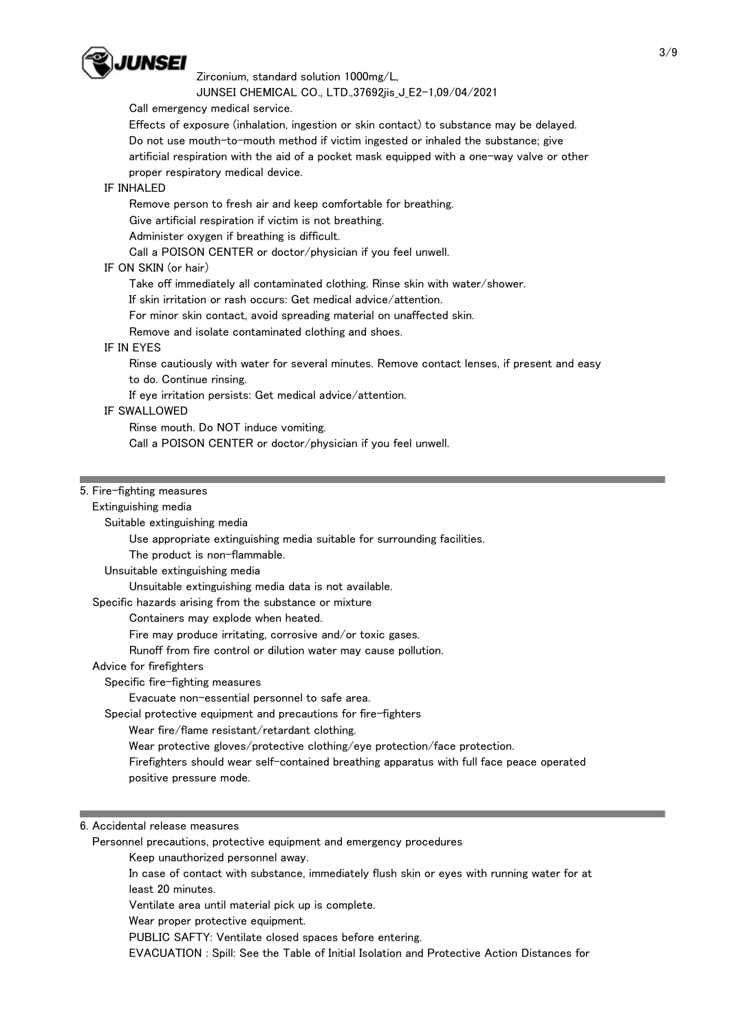

Zirconium, standard solution 1000mg/L,

JUNSEI CHEMICAL CO., LTD.,37692jis\_J\_E2-1,09/04/2021

Call emergency medical service.

 Effects of exposure (inhalation, ingestion or skin contact) to substance may be delayed. Do not use mouth-to-mouth method if victim ingested or inhaled the substance; give artificial respiration with the aid of a pocket mask equipped with a one-way valve or other proper respiratory medical device.

## IF INHALED

Remove person to fresh air and keep comfortable for breathing.

Give artificial respiration if victim is not breathing.

Administer oxygen if breathing is difficult.

Call a POISON CENTER or doctor/physician if you feel unwell.

## IF ON SKIN (or hair)

Take off immediately all contaminated clothing. Rinse skin with water/shower.

If skin irritation or rash occurs: Get medical advice/attention.

For minor skin contact, avoid spreading material on unaffected skin.

Remove and isolate contaminated clothing and shoes.

## IF IN EYES

 Rinse cautiously with water for several minutes. Remove contact lenses, if present and easy to do. Continue rinsing.

If eye irritation persists: Get medical advice/attention.

## IF SWALLOWED

Rinse mouth. Do NOT induce vomiting.

Call a POISON CENTER or doctor/physician if you feel unwell.

## 5. Fire-fighting measures

 Extinguishing media Suitable extinguishing media Use appropriate extinguishing media suitable for surrounding facilities. The product is non-flammable. Unsuitable extinguishing media Unsuitable extinguishing media data is not available. Specific hazards arising from the substance or mixture Containers may explode when heated. Fire may produce irritating, corrosive and/or toxic gases. Runoff from fire control or dilution water may cause pollution. Advice for firefighters Specific fire-fighting measures Evacuate non-essential personnel to safe area. Special protective equipment and precautions for fire-fighters Wear fire/flame resistant/retardant clothing. Wear protective gloves/protective clothing/eye protection/face protection. Firefighters should wear self-contained breathing apparatus with full face peace operated positive pressure mode.

## 6. Accidental release measures

Personnel precautions, protective equipment and emergency procedures

Keep unauthorized personnel away.

 In case of contact with substance, immediately flush skin or eyes with running water for at least 20 minutes.

Ventilate area until material pick up is complete.

Wear proper protective equipment.

PUBLIC SAFTY: Ventilate closed spaces before entering.

EVACUATION : Spill: See the Table of Initial Isolation and Protective Action Distances for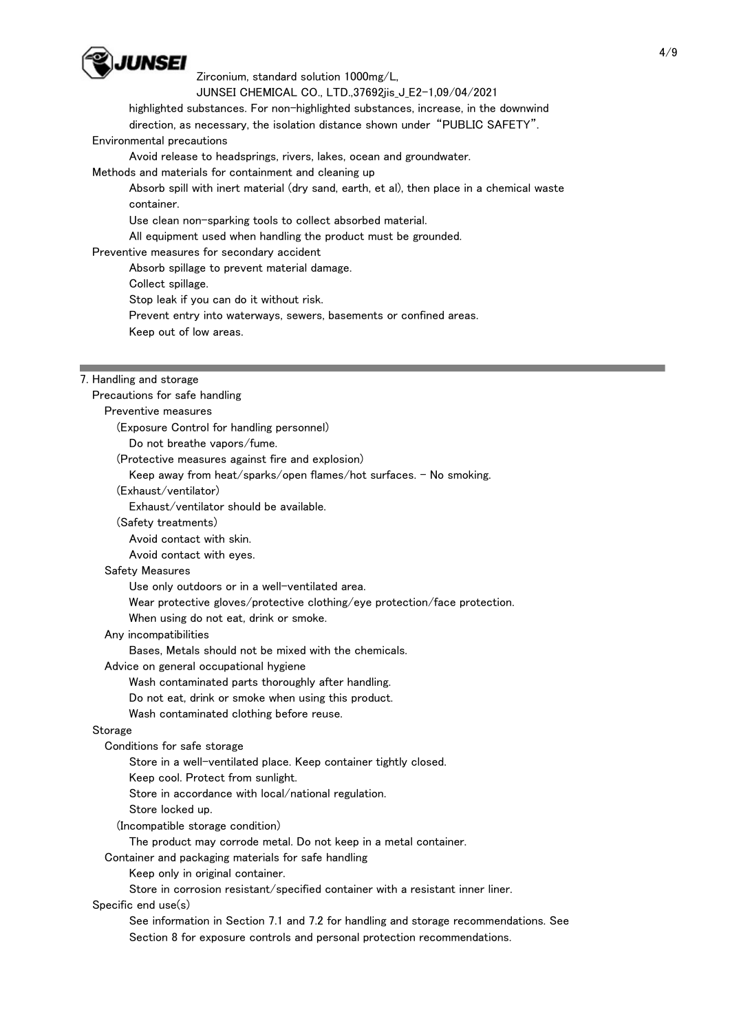

Zirconium, standard solution 1000mg/L,

JUNSEI CHEMICAL CO., LTD.,37692jis\_J\_E2-1,09/04/2021

 highlighted substances. For non-highlighted substances, increase, in the downwind direction, as necessary, the isolation distance shown under "PUBLIC SAFETY".

#### Environmental precautions

Avoid release to headsprings, rivers, lakes, ocean and groundwater.

Methods and materials for containment and cleaning up

 Absorb spill with inert material (dry sand, earth, et al), then place in a chemical waste container.

Use clean non-sparking tools to collect absorbed material.

All equipment used when handling the product must be grounded.

Preventive measures for secondary accident

Absorb spillage to prevent material damage.

Collect spillage.

Stop leak if you can do it without risk.

Prevent entry into waterways, sewers, basements or confined areas.

Keep out of low areas.

## 7. Handling and storage

 Precautions for safe handling Preventive measures (Exposure Control for handling personnel) Do not breathe vapors/fume. (Protective measures against fire and explosion) Keep away from heat/sparks/open flames/hot surfaces. - No smoking. (Exhaust/ventilator) Exhaust/ventilator should be available. (Safety treatments) Avoid contact with skin. Avoid contact with eyes. Safety Measures Use only outdoors or in a well-ventilated area. Wear protective gloves/protective clothing/eye protection/face protection. When using do not eat, drink or smoke. Any incompatibilities Bases, Metals should not be mixed with the chemicals. Advice on general occupational hygiene Wash contaminated parts thoroughly after handling. Do not eat, drink or smoke when using this product. Wash contaminated clothing before reuse. **Storage**  Conditions for safe storage Store in a well-ventilated place. Keep container tightly closed. Keep cool. Protect from sunlight. Store in accordance with local/national regulation. Store locked up. (Incompatible storage condition) The product may corrode metal. Do not keep in a metal container. Container and packaging materials for safe handling Keep only in original container. Store in corrosion resistant/specified container with a resistant inner liner. Specific end use(s) See information in Section 7.1 and 7.2 for handling and storage recommendations. See Section 8 for exposure controls and personal protection recommendations.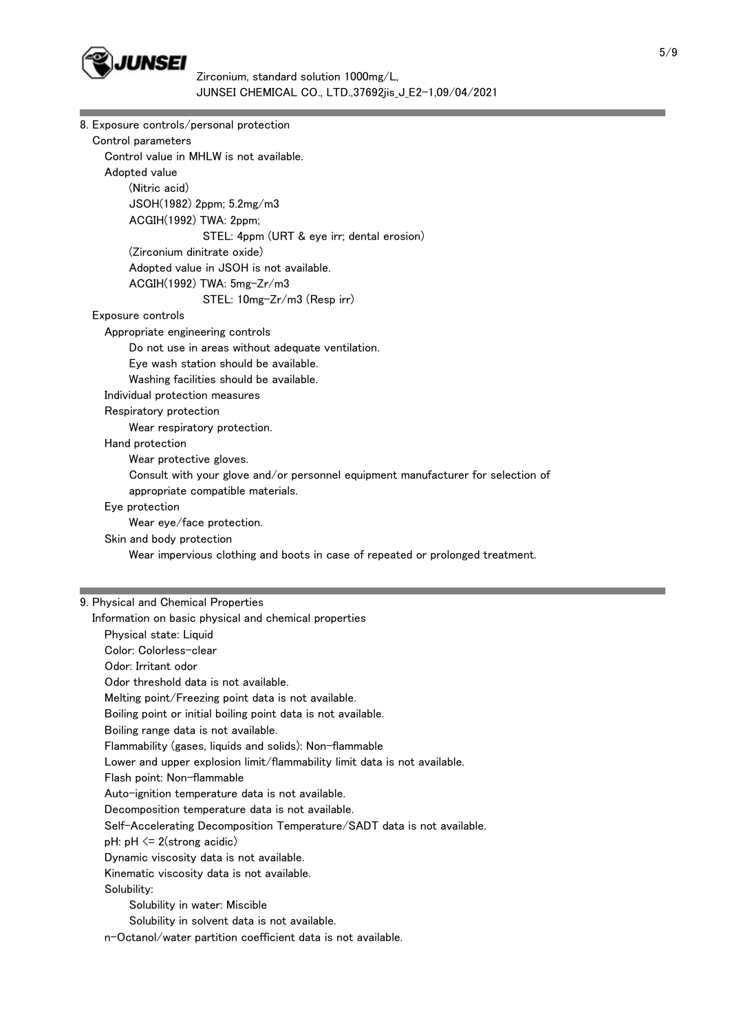

| 8. Exposure controls/personal protection                                                                     |  |
|--------------------------------------------------------------------------------------------------------------|--|
| Control parameters                                                                                           |  |
| Control value in MHLW is not available.                                                                      |  |
| Adopted value                                                                                                |  |
| (Nitric acid)                                                                                                |  |
| JSOH(1982) 2ppm; 5.2mg/m3                                                                                    |  |
| ACGIH(1992) TWA: 2ppm;                                                                                       |  |
| STEL: 4ppm (URT & eye irr; dental erosion)                                                                   |  |
| (Zirconium dinitrate oxide)                                                                                  |  |
| Adopted value in JSOH is not available.                                                                      |  |
| ACGIH(1992) TWA: 5mg-Zr/m3                                                                                   |  |
| STEL: 10mg-Zr/m3 (Resp irr)                                                                                  |  |
| Exposure controls                                                                                            |  |
| Appropriate engineering controls                                                                             |  |
| Do not use in areas without adequate ventilation.                                                            |  |
| Eye wash station should be available.                                                                        |  |
| Washing facilities should be available.                                                                      |  |
| Individual protection measures                                                                               |  |
| Respiratory protection                                                                                       |  |
| Wear respiratory protection.                                                                                 |  |
| Hand protection                                                                                              |  |
| Wear protective gloves.                                                                                      |  |
| Consult with your glove and/or personnel equipment manufacturer for selection of                             |  |
| appropriate compatible materials.                                                                            |  |
| Eye protection                                                                                               |  |
| Wear eye/face protection.                                                                                    |  |
| Skin and body protection                                                                                     |  |
| Wear impervious clothing and boots in case of repeated or prolonged treatment.                               |  |
|                                                                                                              |  |
| 9. Physical and Chemical Properties                                                                          |  |
|                                                                                                              |  |
| Information on basic physical and chemical properties                                                        |  |
| Physical state: Liquid<br>Color: Colorless-clear                                                             |  |
| Odor: Irritant odor                                                                                          |  |
| Odor threshold data is not available.                                                                        |  |
| Melting point/Freezing point data is not available.                                                          |  |
| Boiling point or initial boiling point data is not available.                                                |  |
|                                                                                                              |  |
| Boiling range data is not available.<br>Flammability (gases, liquids and solids): Non-flammable              |  |
|                                                                                                              |  |
| Lower and upper explosion limit/flammability limit data is not available.<br>Flash point: Non-flammable      |  |
|                                                                                                              |  |
|                                                                                                              |  |
| Auto-ignition temperature data is not available.                                                             |  |
| Decomposition temperature data is not available.                                                             |  |
| Self-Accelerating Decomposition Temperature/SADT data is not available.                                      |  |
| pH: $pH \le 2$ (strong acidic)                                                                               |  |
| Dynamic viscosity data is not available.                                                                     |  |
| Kinematic viscosity data is not available.                                                                   |  |
| Solubility:                                                                                                  |  |
| Solubility in water: Miscible                                                                                |  |
| Solubility in solvent data is not available.<br>n-Octanol/water partition coefficient data is not available. |  |

m.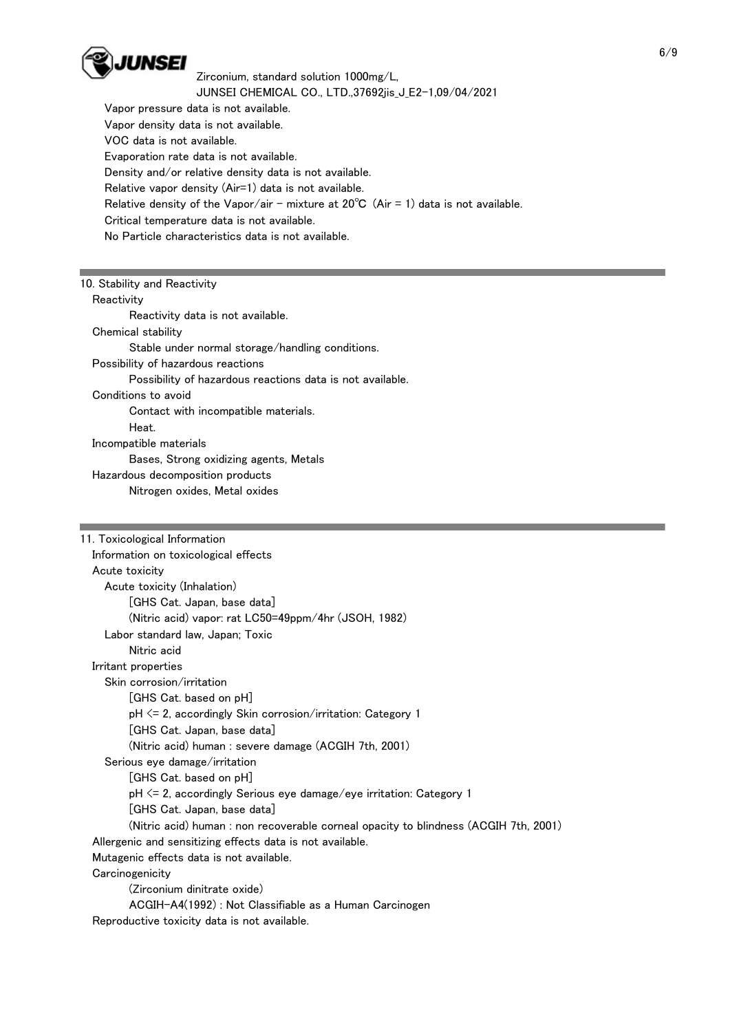

 Vapor pressure data is not available. Vapor density data is not available. VOC data is not available. Evaporation rate data is not available. Density and/or relative density data is not available. Relative vapor density (Air=1) data is not available. Relative density of the Vapor/air - mixture at  $20^{\circ}C$  (Air = 1) data is not available. Critical temperature data is not available. No Particle characteristics data is not available.

## 10. Stability and Reactivity

## **Reactivity**

 Reactivity data is not available. Chemical stability Stable under normal storage/handling conditions. Possibility of hazardous reactions Possibility of hazardous reactions data is not available. Conditions to avoid Contact with incompatible materials. Heat. Incompatible materials Bases, Strong oxidizing agents, Metals Hazardous decomposition products Nitrogen oxides, Metal oxides

| 11. Toxicological Information                                                        |
|--------------------------------------------------------------------------------------|
| Information on toxicological effects                                                 |
| Acute toxicity                                                                       |
| Acute toxicity (Inhalation)                                                          |
| [GHS Cat. Japan, base data]                                                          |
| (Nitric acid) vapor: rat LC50=49ppm/4hr (JSOH, 1982)                                 |
| Labor standard law, Japan; Toxic                                                     |
| Nitric acid                                                                          |
| Irritant properties                                                                  |
| Skin corrosion/irritation                                                            |
| [GHS Cat. based on pH]                                                               |
| $pH \le 2$ , accordingly Skin corrosion/irritation: Category 1                       |
| [GHS Cat. Japan, base data]                                                          |
| (Nitric acid) human : severe damage (ACGIH 7th, 2001)                                |
| Serious eye damage/irritation                                                        |
| [GHS Cat. based on pH]                                                               |
| $pH \le 2$ , accordingly Serious eye damage/eye irritation: Category 1               |
| [GHS Cat. Japan, base data]                                                          |
| (Nitric acid) human : non recoverable corneal opacity to blindness (ACGIH 7th, 2001) |
| Allergenic and sensitizing effects data is not available.                            |
| Mutagenic effects data is not available.                                             |
| Carcinogenicity                                                                      |
| (Zirconium dinitrate oxide)                                                          |
| ACGIH-A4(1992) : Not Classifiable as a Human Carcinogen                              |
| Reproductive toxicity data is not available.                                         |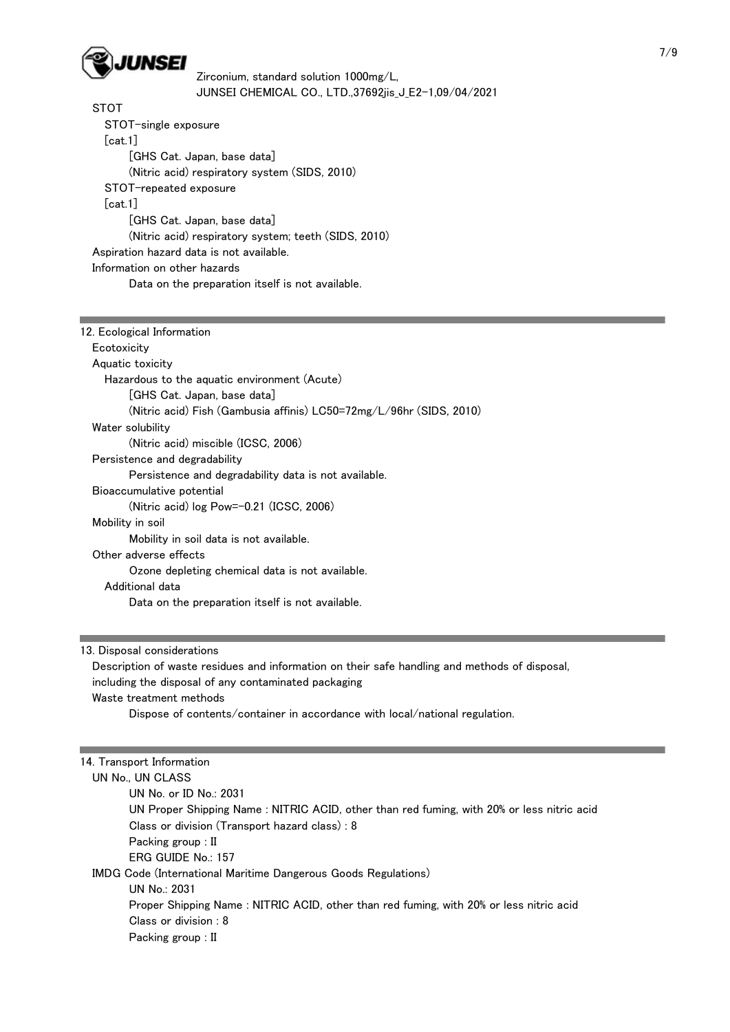

 STOT STOT-single exposure [cat.1] [GHS Cat. Japan, base data] (Nitric acid) respiratory system (SIDS, 2010) STOT-repeated exposure [cat.1] [GHS Cat. Japan, base data] (Nitric acid) respiratory system; teeth (SIDS, 2010) Aspiration hazard data is not available. Information on other hazards Data on the preparation itself is not available.

| 12. Ecological Information                                          |
|---------------------------------------------------------------------|
| Ecotoxicity                                                         |
| Aquatic toxicity                                                    |
| Hazardous to the aquatic environment (Acute)                        |
| [GHS Cat. Japan, base data]                                         |
| (Nitric acid) Fish (Gambusia affinis) LC50=72mg/L/96hr (SIDS, 2010) |
| Water solubility                                                    |
| (Nitric acid) miscible (ICSC, 2006)                                 |
| Persistence and degradability                                       |
| Persistence and degradability data is not available.                |
| Bioaccumulative potential                                           |
| (Nitric acid) log Pow=-0.21 (ICSC, 2006)                            |
| Mobility in soil                                                    |
| Mobility in soil data is not available.                             |
| Other adverse effects                                               |
| Ozone depleting chemical data is not available.                     |
| Additional data                                                     |
| Data on the preparation itself is not available.                    |
|                                                                     |

13. Disposal considerations

 Description of waste residues and information on their safe handling and methods of disposal, including the disposal of any contaminated packaging Waste treatment methods Dispose of contents/container in accordance with local/national regulation.

| 14. Transport Information                                                                  |  |
|--------------------------------------------------------------------------------------------|--|
| UN No., UN CLASS                                                                           |  |
| UN No. or ID No.: 2031                                                                     |  |
| UN Proper Shipping Name : NITRIC ACID, other than red fuming, with 20% or less nitric acid |  |
| Class or division (Transport hazard class): 8                                              |  |
| Packing group : II                                                                         |  |
| $ERG$ GUIDE No.: 157                                                                       |  |
| IMDG Code (International Maritime Dangerous Goods Regulations)                             |  |
| UN No.: 2031                                                                               |  |
| Proper Shipping Name: NITRIC ACID, other than red fuming, with 20% or less nitric acid     |  |
| Class or division: 8                                                                       |  |
| Packing group : II                                                                         |  |
|                                                                                            |  |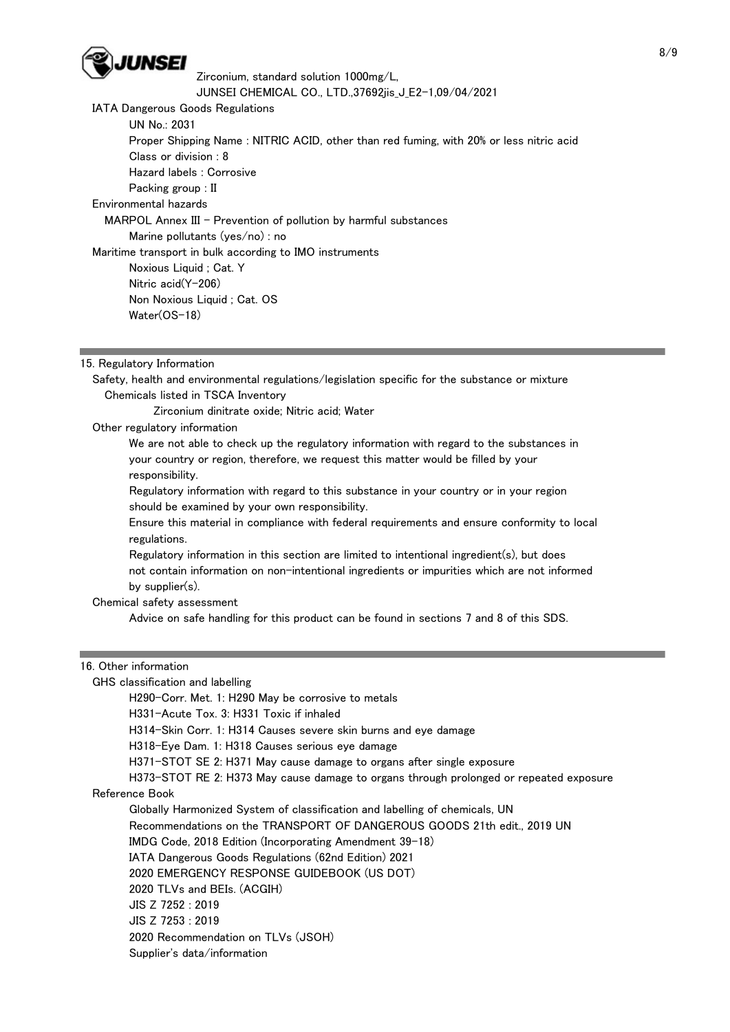

IATA Dangerous Goods Regulations

UN No.: 2031

Proper Shipping Name : NITRIC ACID, other than red fuming, with 20% or less nitric acid

Class or division : 8

 Hazard labels : Corrosive Packing group : II

Environmental hazards

MARPOL Annex III - Prevention of pollution by harmful substances

Marine pollutants (yes/no) : no

Maritime transport in bulk according to IMO instruments

 Noxious Liquid ; Cat. Y Nitric acid(Y-206) Non Noxious Liquid ; Cat. OS Water(OS-18)

15. Regulatory Information

 Safety, health and environmental regulations/legislation specific for the substance or mixture Chemicals listed in TSCA Inventory

Zirconium dinitrate oxide; Nitric acid; Water

Other regulatory information

 We are not able to check up the regulatory information with regard to the substances in your country or region, therefore, we request this matter would be filled by your responsibility.

 Regulatory information with regard to this substance in your country or in your region should be examined by your own responsibility.

 Ensure this material in compliance with federal requirements and ensure conformity to local regulations.

 Regulatory information in this section are limited to intentional ingredient(s), but does not contain information on non-intentional ingredients or impurities which are not informed by supplier(s).

Chemical safety assessment

Advice on safe handling for this product can be found in sections 7 and 8 of this SDS.

## 16. Other information

GHS classification and labelling

H290-Corr. Met. 1: H290 May be corrosive to metals

H331-Acute Tox. 3: H331 Toxic if inhaled

H314-Skin Corr. 1: H314 Causes severe skin burns and eye damage

H318-Eye Dam. 1: H318 Causes serious eye damage

H371-STOT SE 2: H371 May cause damage to organs after single exposure

H373-STOT RE 2: H373 May cause damage to organs through prolonged or repeated exposure

Reference Book

Globally Harmonized System of classification and labelling of chemicals, UN

Recommendations on the TRANSPORT OF DANGEROUS GOODS 21th edit., 2019 UN

IMDG Code, 2018 Edition (Incorporating Amendment 39-18)

IATA Dangerous Goods Regulations (62nd Edition) 2021

2020 EMERGENCY RESPONSE GUIDEBOOK (US DOT)

2020 TLVs and BEIs. (ACGIH)

JIS Z 7252 : 2019

JIS Z 7253 : 2019

2020 Recommendation on TLVs (JSOH)

Supplier's data/information